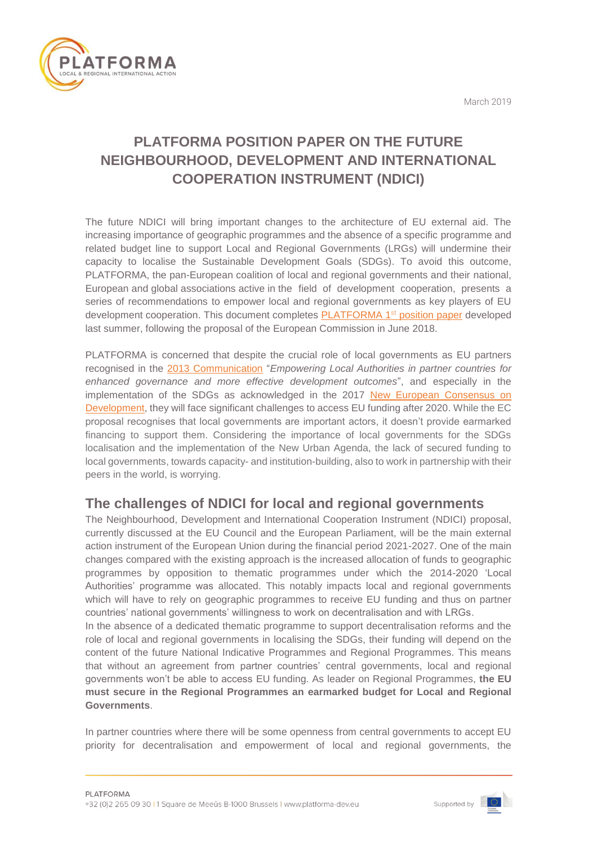March 2019



# **PLATFORMA POSITION PAPER ON THE FUTURE NEIGHBOURHOOD, DEVELOPMENT AND INTERNATIONAL COOPERATION INSTRUMENT (NDICI)**

The future NDICI will bring important changes to the architecture of EU external aid. The increasing importance of geographic programmes and the absence of a specific programme and related budget line to support Local and Regional Governments (LRGs) will undermine their capacity to localise the Sustainable Development Goals (SDGs). To avoid this outcome, PLATFORMA, the pan-European coalition of local and regional governments and their national, European and global associations active in the field of development cooperation, presents a series of recommendations to empower local and regional governments as key players of EU development cooperation. This document completes [PLATFORMA 1](http://platforma-dev.eu/platforma-position-paper-on-the-future-neighbourhood-development-and-international-cooperation-instrument-ndici/)<sup>st</sup> position paper developed last summer, following the proposal of the European Commission in June 2018.

PLATFORMA is concerned that despite the crucial role of local governments as EU partners recognised in the [2013 Communication](https://ec.europa.eu/europeaid/sites/devco/files/communication-local-authorities-in-partner-countries-com2013280-20130515_en_4.pdf) "*Empowering Local Authorities in partner countries for enhanced governance and more effective development outcomes*", and especially in the implementation of the SDGs as acknowledged in the 2017 [New European Consensus on](https://ec.europa.eu/europeaid/sites/devco/files/european-consensus-on-development-final-20170626_en.pdf)  [Development,](https://ec.europa.eu/europeaid/sites/devco/files/european-consensus-on-development-final-20170626_en.pdf) they will face significant challenges to access EU funding after 2020. While the EC proposal recognises that local governments are important actors, it doesn't provide earmarked financing to support them. Considering the importance of local governments for the SDGs localisation and the implementation of the New Urban Agenda, the lack of secured funding to local governments, towards capacity- and institution-building, also to work in partnership with their peers in the world, is worrying.

### **The challenges of NDICI for local and regional governments**

The Neighbourhood, Development and International Cooperation Instrument (NDICI) proposal, currently discussed at the EU Council and the European Parliament, will be the main external action instrument of the European Union during the financial period 2021-2027. One of the main changes compared with the existing approach is the increased allocation of funds to geographic programmes by opposition to thematic programmes under which the 2014-2020 'Local Authorities' programme was allocated. This notably impacts local and regional governments which will have to rely on geographic programmes to receive EU funding and thus on partner countries' national governments' willingness to work on decentralisation and with LRGs.

In the absence of a dedicated thematic programme to support decentralisation reforms and the role of local and regional governments in localising the SDGs, their funding will depend on the content of the future National Indicative Programmes and Regional Programmes. This means that without an agreement from partner countries' central governments, local and regional governments won't be able to access EU funding. As leader on Regional Programmes, **the EU must secure in the Regional Programmes an earmarked budget for Local and Regional Governments**.

In partner countries where there will be some openness from central governments to accept EU priority for decentralisation and empowerment of local and regional governments, the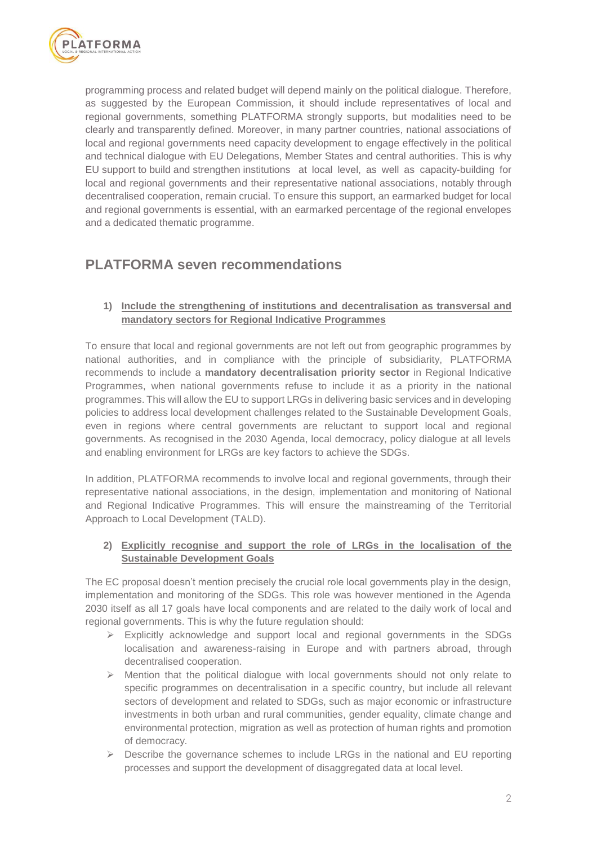

programming process and related budget will depend mainly on the political dialogue. Therefore, as suggested by the European Commission, it should include representatives of local and regional governments, something PLATFORMA strongly supports, but modalities need to be clearly and transparently defined. Moreover, in many partner countries, national associations of local and regional governments need capacity development to engage effectively in the political and technical dialogue with EU Delegations, Member States and central authorities. This is why EU support to build and strengthen institutions at local level, as well as capacity-building for local and regional governments and their representative national associations, notably through decentralised cooperation, remain crucial. To ensure this support, an earmarked budget for local and regional governments is essential, with an earmarked percentage of the regional envelopes and a dedicated thematic programme.

## **PLATFORMA seven recommendations**

### **1) Include the strengthening of institutions and decentralisation as transversal and mandatory sectors for Regional Indicative Programmes**

To ensure that local and regional governments are not left out from geographic programmes by national authorities, and in compliance with the principle of subsidiarity, PLATFORMA recommends to include a **mandatory decentralisation priority sector** in Regional Indicative Programmes, when national governments refuse to include it as a priority in the national programmes. This will allow the EU to support LRGs in delivering basic services and in developing policies to address local development challenges related to the Sustainable Development Goals, even in regions where central governments are reluctant to support local and regional governments. As recognised in the 2030 Agenda, local democracy, policy dialogue at all levels and enabling environment for LRGs are key factors to achieve the SDGs.

In addition, PLATFORMA recommends to involve local and regional governments, through their representative national associations, in the design, implementation and monitoring of National and Regional Indicative Programmes. This will ensure the mainstreaming of the Territorial Approach to Local Development (TALD).

### **2) Explicitly recognise and support the role of LRGs in the localisation of the Sustainable Development Goals**

The EC proposal doesn't mention precisely the crucial role local governments play in the design, implementation and monitoring of the SDGs. This role was however mentioned in the Agenda 2030 itself as all 17 goals have local components and are related to the daily work of local and regional governments. This is why the future regulation should:

- $\triangleright$  Explicitly acknowledge and support local and regional governments in the SDGs localisation and awareness-raising in Europe and with partners abroad, through decentralised cooperation.
- $\triangleright$  Mention that the political dialogue with local governments should not only relate to specific programmes on decentralisation in a specific country, but include all relevant sectors of development and related to SDGs, such as major economic or infrastructure investments in both urban and rural communities, gender equality, climate change and environmental protection, migration as well as protection of human rights and promotion of democracy.
- $\triangleright$  Describe the governance schemes to include LRGs in the national and EU reporting processes and support the development of disaggregated data at local level.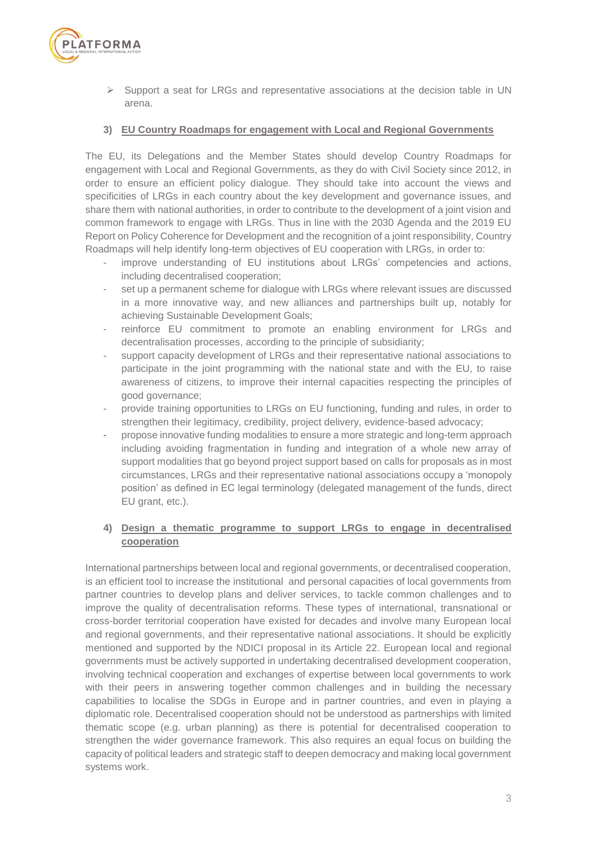

 $\triangleright$  Support a seat for LRGs and representative associations at the decision table in UN arena.

#### **3) EU Country Roadmaps for engagement with Local and Regional Governments**

The EU, its Delegations and the Member States should develop Country Roadmaps for engagement with Local and Regional Governments, as they do with Civil Society since 2012, in order to ensure an efficient policy dialogue. They should take into account the views and specificities of LRGs in each country about the key development and governance issues, and share them with national authorities, in order to contribute to the development of a joint vision and common framework to engage with LRGs. Thus in line with the 2030 Agenda and the 2019 EU Report on Policy Coherence for Development and the recognition of a joint responsibility, Country Roadmaps will help identify long-term objectives of EU cooperation with LRGs, in order to:

- improve understanding of EU institutions about LRGs' competencies and actions, including decentralised cooperation;
- set up a permanent scheme for dialogue with LRGs where relevant issues are discussed in a more innovative way, and new alliances and partnerships built up, notably for achieving Sustainable Development Goals;
- reinforce EU commitment to promote an enabling environment for LRGs and decentralisation processes, according to the principle of subsidiarity;
- support capacity development of LRGs and their representative national associations to participate in the joint programming with the national state and with the EU, to raise awareness of citizens, to improve their internal capacities respecting the principles of good governance;
- provide training opportunities to LRGs on EU functioning, funding and rules, in order to strengthen their legitimacy, credibility, project delivery, evidence-based advocacy;
- propose innovative funding modalities to ensure a more strategic and long-term approach including avoiding fragmentation in funding and integration of a whole new array of support modalities that go beyond project support based on calls for proposals as in most circumstances, LRGs and their representative national associations occupy a 'monopoly position' as defined in EC legal terminology (delegated management of the funds, direct EU grant, etc.).

#### **4) Design a thematic programme to support LRGs to engage in decentralised cooperation**

International partnerships between local and regional governments, or decentralised cooperation, is an efficient tool to increase the institutional and personal capacities of local governments from partner countries to develop plans and deliver services, to tackle common challenges and to improve the quality of decentralisation reforms. These types of international, transnational or cross-border territorial cooperation have existed for decades and involve many European local and regional governments, and their representative national associations. It should be explicitly mentioned and supported by the NDICI proposal in its Article 22. European local and regional governments must be actively supported in undertaking decentralised development cooperation, involving technical cooperation and exchanges of expertise between local governments to work with their peers in answering together common challenges and in building the necessary capabilities to localise the SDGs in Europe and in partner countries, and even in playing a diplomatic role. Decentralised cooperation should not be understood as partnerships with limited thematic scope (e.g. urban planning) as there is potential for decentralised cooperation to strengthen the wider governance framework. This also requires an equal focus on building the capacity of political leaders and strategic staff to deepen democracy and making local government systems work.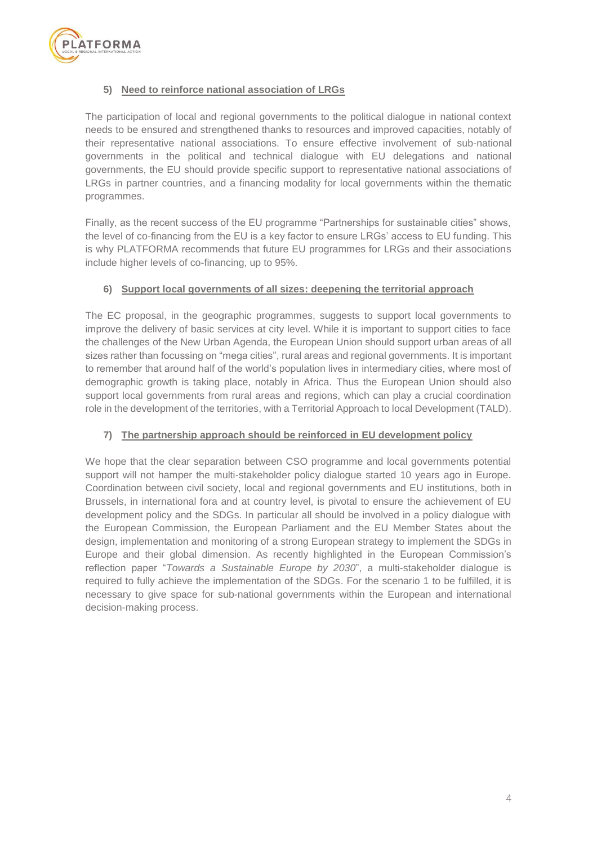

#### **5) Need to reinforce national association of LRGs**

The participation of local and regional governments to the political dialogue in national context needs to be ensured and strengthened thanks to resources and improved capacities, notably of their representative national associations. To ensure effective involvement of sub-national governments in the political and technical dialogue with EU delegations and national governments, the EU should provide specific support to representative national associations of LRGs in partner countries, and a financing modality for local governments within the thematic programmes.

Finally, as the recent success of the EU programme "Partnerships for sustainable cities" shows, the level of co-financing from the EU is a key factor to ensure LRGs' access to EU funding. This is why PLATFORMA recommends that future EU programmes for LRGs and their associations include higher levels of co-financing, up to 95%.

#### **6) Support local governments of all sizes: deepening the territorial approach**

The EC proposal, in the geographic programmes, suggests to support local governments to improve the delivery of basic services at city level. While it is important to support cities to face the challenges of the New Urban Agenda, the European Union should support urban areas of all sizes rather than focussing on "mega cities", rural areas and regional governments. It is important to remember that around half of the world's population lives in intermediary cities, where most of demographic growth is taking place, notably in Africa. Thus the European Union should also support local governments from rural areas and regions, which can play a crucial coordination role in the development of the territories, with a Territorial Approach to local Development (TALD).

#### **7) The partnership approach should be reinforced in EU development policy**

We hope that the clear separation between CSO programme and local governments potential support will not hamper the multi-stakeholder policy dialogue started 10 years ago in Europe. Coordination between civil society, local and regional governments and EU institutions, both in Brussels, in international fora and at country level, is pivotal to ensure the achievement of EU development policy and the SDGs. In particular all should be involved in a policy dialogue with the European Commission, the European Parliament and the EU Member States about the design, implementation and monitoring of a strong European strategy to implement the SDGs in Europe and their global dimension. As recently highlighted in the European Commission's reflection paper "*Towards a Sustainable Europe by 2030*", a multi-stakeholder dialogue is required to fully achieve the implementation of the SDGs. For the scenario 1 to be fulfilled, it is necessary to give space for sub-national governments within the European and international decision-making process.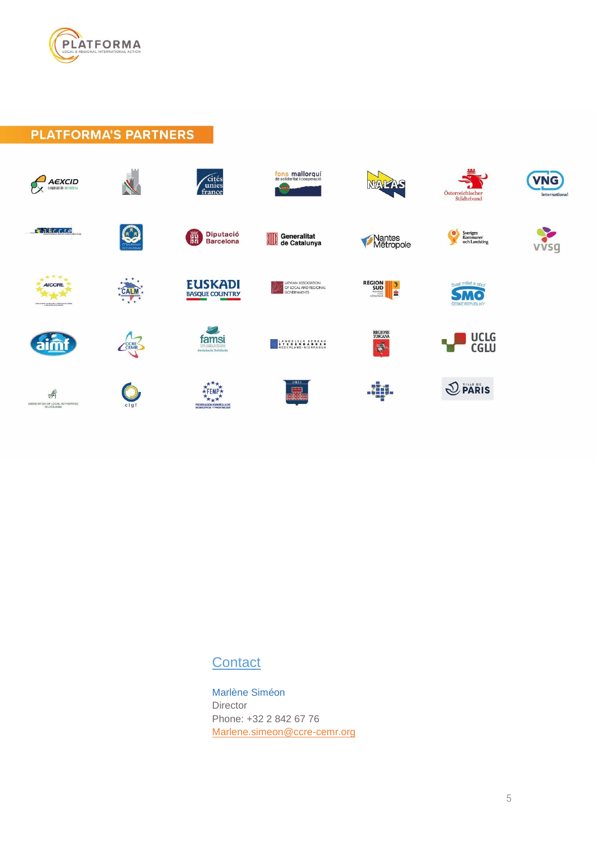

**PLATFORMA'S PARTNERS** 



# **Contact**

Marlène Siméon Director Phone: +32 2 842 67 76 [Marlene.simeon@ccre-cemr.org](mailto:Marlene.simeon@ccre-cemr.org)